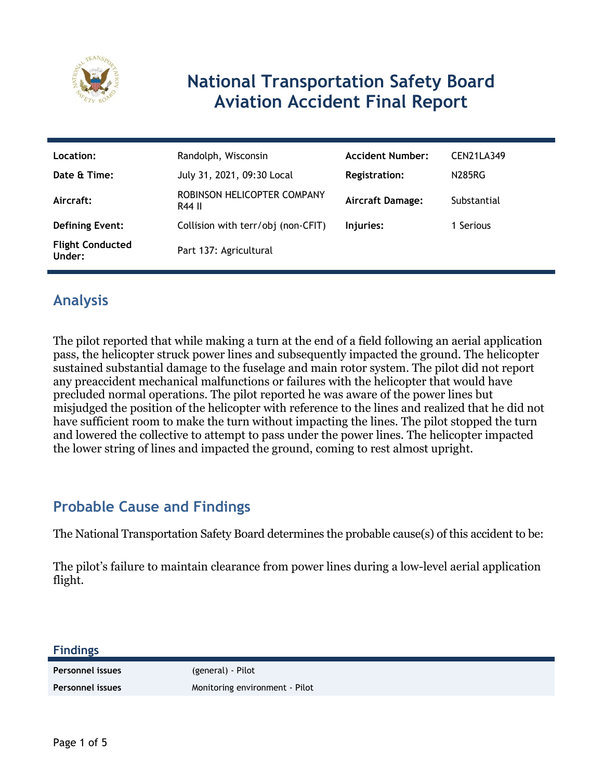

# **National Transportation Safety Board Aviation Accident Final Report**

| Location:                         | Randolph, Wisconsin                   | <b>Accident Number:</b> | CEN21LA349  |
|-----------------------------------|---------------------------------------|-------------------------|-------------|
| Date & Time:                      | July 31, 2021, 09:30 Local            | <b>Registration:</b>    | N285RG      |
| Aircraft:                         | ROBINSON HELICOPTER COMPANY<br>R44 II | <b>Aircraft Damage:</b> | Substantial |
| <b>Defining Event:</b>            | Collision with terr/obj (non-CFIT)    | Injuries:               | 1 Serious   |
| <b>Flight Conducted</b><br>Under: | Part 137: Agricultural                |                         |             |

### **Analysis**

The pilot reported that while making a turn at the end of a field following an aerial application pass, the helicopter struck power lines and subsequently impacted the ground. The helicopter sustained substantial damage to the fuselage and main rotor system. The pilot did not report any preaccident mechanical malfunctions or failures with the helicopter that would have precluded normal operations. The pilot reported he was aware of the power lines but misjudged the position of the helicopter with reference to the lines and realized that he did not have sufficient room to make the turn without impacting the lines. The pilot stopped the turn and lowered the collective to attempt to pass under the power lines. The helicopter impacted the lower string of lines and impacted the ground, coming to rest almost upright.

### **Probable Cause and Findings**

The National Transportation Safety Board determines the probable cause(s) of this accident to be:

The pilot's failure to maintain clearance from power lines during a low-level aerial application flight.

#### **Findings**

**Personnel issues** (general) - Pilot

Personnel issues **Monitoring environment** - Pilot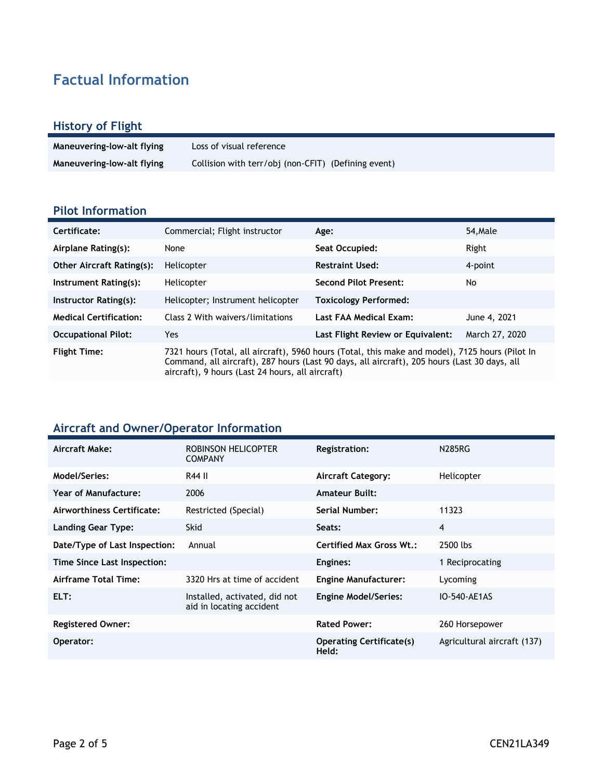## **Factual Information**

### **History of Flight**

| Maneuvering-low-alt flying | Loss of visual reference                            |
|----------------------------|-----------------------------------------------------|
| Maneuvering-low-alt flying | Collision with terr/obj (non-CFIT) (Defining event) |

### **Pilot Information**

| Certificate:                     | Commercial; Flight instructor                                                                                                                                                                                                                       | Age:                              | 54.Male        |
|----------------------------------|-----------------------------------------------------------------------------------------------------------------------------------------------------------------------------------------------------------------------------------------------------|-----------------------------------|----------------|
| Airplane Rating(s):              | None                                                                                                                                                                                                                                                | Seat Occupied:                    | Right          |
| <b>Other Aircraft Rating(s):</b> | Helicopter                                                                                                                                                                                                                                          | <b>Restraint Used:</b>            | 4-point        |
| Instrument Rating(s):            | Helicopter                                                                                                                                                                                                                                          | <b>Second Pilot Present:</b>      | No             |
| Instructor Rating(s):            | Helicopter; Instrument helicopter                                                                                                                                                                                                                   | <b>Toxicology Performed:</b>      |                |
| <b>Medical Certification:</b>    | Class 2 With waivers/limitations                                                                                                                                                                                                                    | Last FAA Medical Exam:            | June 4, 2021   |
| <b>Occupational Pilot:</b>       | Yes                                                                                                                                                                                                                                                 | Last Flight Review or Equivalent: | March 27, 2020 |
| <b>Flight Time:</b>              | 7321 hours (Total, all aircraft), 5960 hours (Total, this make and model), 7125 hours (Pilot In<br>Command, all aircraft), 287 hours (Last 90 days, all aircraft), 205 hours (Last 30 days, all<br>aircraft), 9 hours (Last 24 hours, all aircraft) |                                   |                |

### **Aircraft and Owner/Operator Information**

| Aircraft Make:                | ROBINSON HELICOPTER<br><b>COMPANY</b>                     | <b>Registration:</b>                     | <b>N285RG</b>               |
|-------------------------------|-----------------------------------------------------------|------------------------------------------|-----------------------------|
| Model/Series:                 | R44 II                                                    | <b>Aircraft Category:</b>                | Helicopter                  |
| <b>Year of Manufacture:</b>   | 2006                                                      | <b>Amateur Built:</b>                    |                             |
| Airworthiness Certificate:    | Restricted (Special)                                      | Serial Number:                           | 11323                       |
| <b>Landing Gear Type:</b>     | <b>Skid</b>                                               | Seats:                                   | 4                           |
| Date/Type of Last Inspection: | Annual                                                    | <b>Certified Max Gross Wt.:</b>          | 2500 lbs                    |
| Time Since Last Inspection:   |                                                           | Engines:                                 | 1 Reciprocating             |
| Airframe Total Time:          | 3320 Hrs at time of accident                              | <b>Engine Manufacturer:</b>              | Lycoming                    |
| ELT:                          | Installed, activated, did not<br>aid in locating accident | <b>Engine Model/Series:</b>              | IO-540-AE1AS                |
| <b>Registered Owner:</b>      |                                                           | <b>Rated Power:</b>                      | 260 Horsepower              |
| Operator:                     |                                                           | <b>Operating Certificate(s)</b><br>Held: | Agricultural aircraft (137) |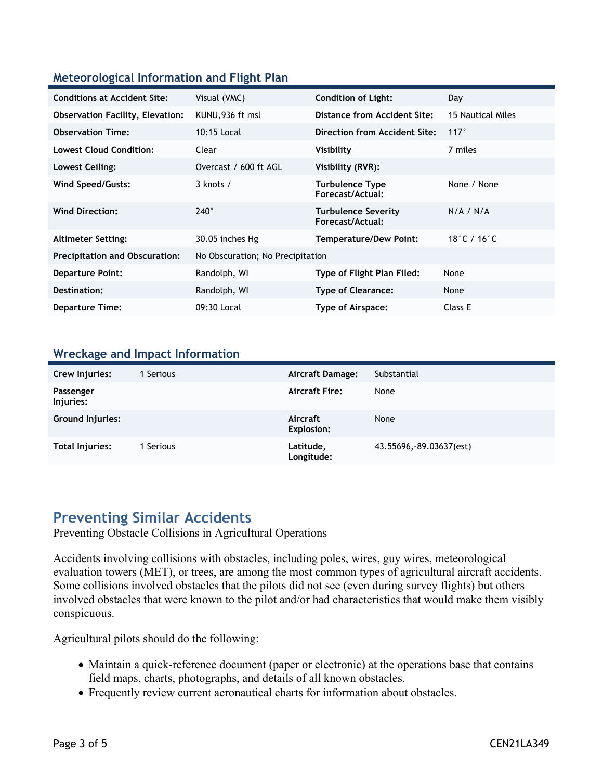### **Meteorological Information and Flight Plan**

| <b>Conditions at Accident Site:</b>     | Visual (VMC)                     | <b>Condition of Light:</b>                     | Day               |
|-----------------------------------------|----------------------------------|------------------------------------------------|-------------------|
| <b>Observation Facility, Elevation:</b> | KUNU,936 ft msl                  | Distance from Accident Site:                   | 15 Nautical Miles |
| <b>Observation Time:</b>                | 10:15 Local                      | Direction from Accident Site:                  | 117°              |
| <b>Lowest Cloud Condition:</b>          | Clear                            | Visibility                                     | 7 miles           |
| Lowest Ceiling:                         | Overcast / 600 ft AGL            | Visibility (RVR):                              |                   |
| Wind Speed/Gusts:                       | $3$ knots $/$                    | <b>Turbulence Type</b><br>Forecast/Actual:     | None / None       |
| <b>Wind Direction:</b>                  | $240^\circ$                      | <b>Turbulence Severity</b><br>Forecast/Actual: | N/A / N/A         |
| <b>Altimeter Setting:</b>               | 30.05 inches Hg                  | <b>Temperature/Dew Point:</b>                  | 18°C / 16°C       |
| <b>Precipitation and Obscuration:</b>   | No Obscuration; No Precipitation |                                                |                   |
| <b>Departure Point:</b>                 | Randolph, WI                     | Type of Flight Plan Filed:                     | None              |
| Destination:                            | Randolph, WI                     | <b>Type of Clearance:</b>                      | None              |
| <b>Departure Time:</b>                  | 09:30 Local                      | Type of Airspace:                              | Class E           |

#### **Wreckage and Impact Information**

| Crew Injuries:          | 1 Serious | <b>Aircraft Damage:</b>       | Substantial              |
|-------------------------|-----------|-------------------------------|--------------------------|
|                         |           |                               |                          |
| Passenger<br>Injuries:  |           | <b>Aircraft Fire:</b>         | None                     |
| <b>Ground Injuries:</b> |           | Aircraft<br><b>Explosion:</b> | None                     |
| Total Injuries:         | 1 Serious | Latitude,<br>Longitude:       | 43.55696, -89.03637(est) |

### **Preventing Similar Accidents**

Preventing Obstacle Collisions in Agricultural Operations

Accidents involving collisions with obstacles, including poles, wires, guy wires, meteorological evaluation towers (MET), or trees, are among the most common types of agricultural aircraft accidents. Some collisions involved obstacles that the pilots did not see (even during survey flights) but others involved obstacles that were known to the pilot and/or had characteristics that would make them visibly conspicuous.

Agricultural pilots should do the following:

- Maintain a quick-reference document (paper or electronic) at the operations base that contains field maps, charts, photographs, and details of all known obstacles.
- Frequently review current aeronautical charts for information about obstacles.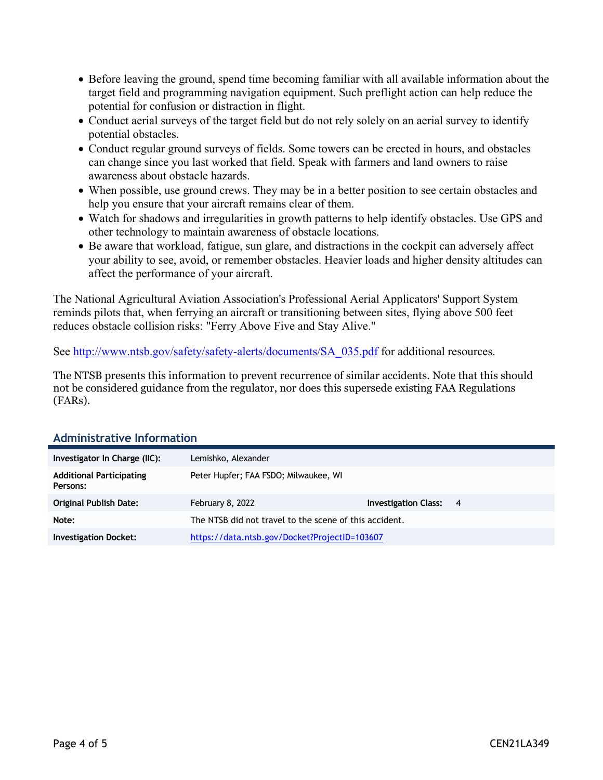- Before leaving the ground, spend time becoming familiar with all available information about the target field and programming navigation equipment. Such preflight action can help reduce the potential for confusion or distraction in flight.
- Conduct aerial surveys of the target field but do not rely solely on an aerial survey to identify potential obstacles.
- Conduct regular ground surveys of fields. Some towers can be erected in hours, and obstacles can change since you last worked that field. Speak with farmers and land owners to raise awareness about obstacle hazards.
- When possible, use ground crews. They may be in a better position to see certain obstacles and help you ensure that your aircraft remains clear of them.
- Watch for shadows and irregularities in growth patterns to help identify obstacles. Use GPS and other technology to maintain awareness of obstacle locations.
- Be aware that workload, fatigue, sun glare, and distractions in the cockpit can adversely affect your ability to see, avoid, or remember obstacles. Heavier loads and higher density altitudes can affect the performance of your aircraft.

The National Agricultural Aviation Association's Professional Aerial Applicators' Support System reminds pilots that, when ferrying an aircraft or transitioning between sites, flying above 500 feet reduces obstacle collision risks: "Ferry Above Five and Stay Alive."

See [http://www.ntsb.gov/safety/safety-alerts/documents/SA\\_035.pdf](http://www.ntsb.gov/safety/safety-alerts/documents/SA_035.pdf) for additional resources.

The NTSB presents this information to prevent recurrence of similar accidents. Note that this should not be considered guidance from the regulator, nor does this supersede existing FAA Regulations (FARs).

| Investigator In Charge (IIC):               | Lemishko, Alexander                                    |                               |  |
|---------------------------------------------|--------------------------------------------------------|-------------------------------|--|
| <b>Additional Participating</b><br>Persons: | Peter Hupfer; FAA FSDO; Milwaukee, WI                  |                               |  |
| Original Publish Date:                      | February 8, 2022                                       | <b>Investigation Class: 4</b> |  |
| Note:                                       | The NTSB did not travel to the scene of this accident. |                               |  |
| <b>Investigation Docket:</b>                | https://data.ntsb.gov/Docket?ProjectID=103607          |                               |  |

#### **Administrative Information**